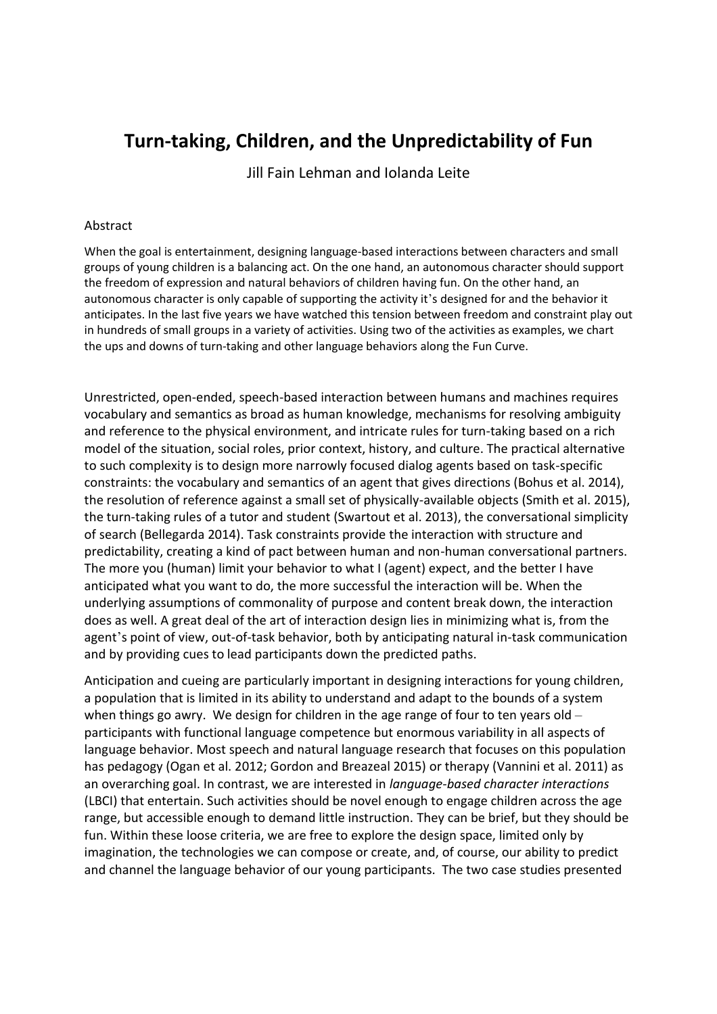# **Turn-taking, Children, and the Unpredictability of Fun**

Jill Fain Lehman and Iolanda Leite

#### Abstract

When the goal is entertainment, designing language-based interactions between characters and small groups of young children is a balancing act. On the one hand, an autonomous character should support the freedom of expression and natural behaviors of children having fun. On the other hand, an autonomous character is only capable of supporting the activity it's designed for and the behavior it anticipates. In the last five years we have watched this tension between freedom and constraint play out in hundreds of small groups in a variety of activities. Using two of the activities as examples, we chart the ups and downs of turn-taking and other language behaviors along the Fun Curve.

Unrestricted, open-ended, speech-based interaction between humans and machines requires vocabulary and semantics as broad as human knowledge, mechanisms for resolving ambiguity and reference to the physical environment, and intricate rules for turn-taking based on a rich model of the situation, social roles, prior context, history, and culture. The practical alternative to such complexity is to design more narrowly focused dialog agents based on task-specific constraints: the vocabulary and semantics of an agent that gives directions (Bohus et al. 2014), the resolution of reference against a small set of physically-available objects (Smith et al. 2015), the turn-taking rules of a tutor and student (Swartout et al. 2013), the conversational simplicity of search (Bellegarda 2014). Task constraints provide the interaction with structure and predictability, creating a kind of pact between human and non-human conversational partners. The more you (human) limit your behavior to what I (agent) expect, and the better I have anticipated what you want to do, the more successful the interaction will be. When the underlying assumptions of commonality of purpose and content break down, the interaction does as well. A great deal of the art of interaction design lies in minimizing what is, from the agent's point of view, out-of-task behavior, both by anticipating natural in-task communication and by providing cues to lead participants down the predicted paths.

Anticipation and cueing are particularly important in designing interactions for young children, a population that is limited in its ability to understand and adapt to the bounds of a system when things go awry. We design for children in the age range of four to ten years old  $$ participants with functional language competence but enormous variability in all aspects of language behavior. Most speech and natural language research that focuses on this population has pedagogy (Ogan et al. 2012; Gordon and Breazeal 2015) or therapy (Vannini et al. 2011) as an overarching goal. In contrast, we are interested in *language-based character interactions* (LBCI) that entertain. Such activities should be novel enough to engage children across the age range, but accessible enough to demand little instruction. They can be brief, but they should be fun. Within these loose criteria, we are free to explore the design space, limited only by imagination, the technologies we can compose or create, and, of course, our ability to predict and channel the language behavior of our young participants. The two case studies presented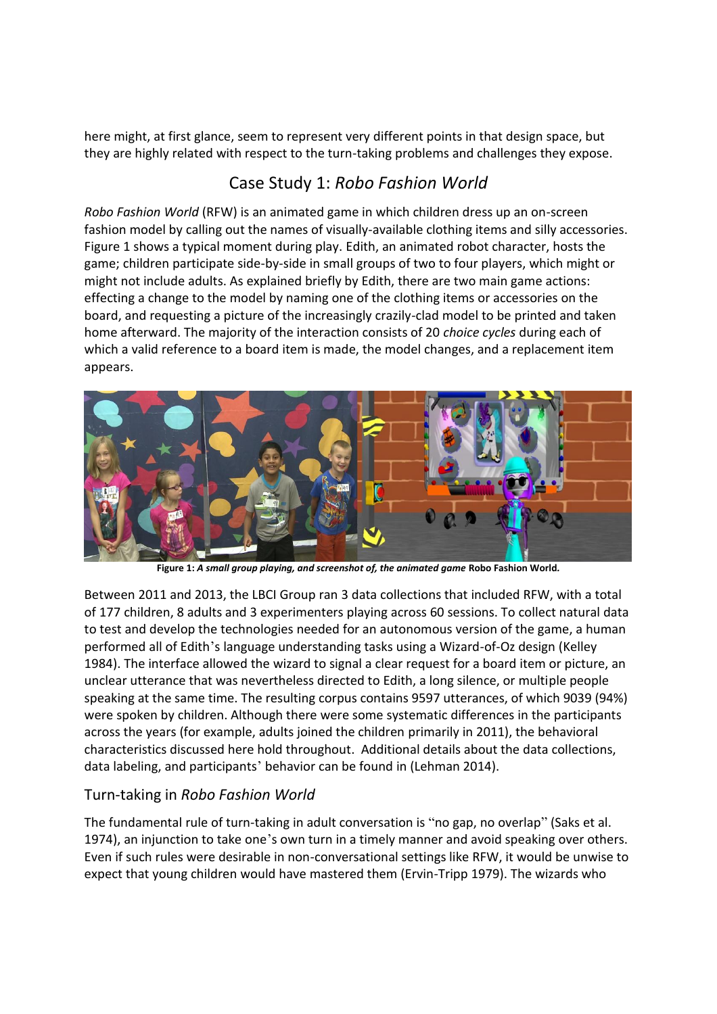here might, at first glance, seem to represent very different points in that design space, but they are highly related with respect to the turn-taking problems and challenges they expose.

# Case Study 1: *Robo Fashion World*

*Robo Fashion World* (RFW) is an animated game in which children dress up an on-screen fashion model by calling out the names of visually-available clothing items and silly accessories. Figure 1 shows a typical moment during play. Edith, an animated robot character, hosts the game; children participate side-by-side in small groups of two to four players, which might or might not include adults. As explained briefly by Edith, there are two main game actions: effecting a change to the model by naming one of the clothing items or accessories on the board, and requesting a picture of the increasingly crazily-clad model to be printed and taken home afterward. The majority of the interaction consists of 20 *choice cycles* during each of which a valid reference to a board item is made, the model changes, and a replacement item appears.



**Figure 1:** *A small group playing, and screenshot of, the animated game* **Robo Fashion World***.*

Between 2011 and 2013, the LBCI Group ran 3 data collections that included RFW, with a total of 177 children, 8 adults and 3 experimenters playing across 60 sessions. To collect natural data to test and develop the technologies needed for an autonomous version of the game, a human performed all of Edith's language understanding tasks using a Wizard-of-Oz design (Kelley 1984). The interface allowed the wizard to signal a clear request for a board item or picture, an unclear utterance that was nevertheless directed to Edith, a long silence, or multiple people speaking at the same time. The resulting corpus contains 9597 utterances, of which 9039 (94%) were spoken by children. Although there were some systematic differences in the participants across the years (for example, adults joined the children primarily in 2011), the behavioral characteristics discussed here hold throughout. Additional details about the data collections, data labeling, and participants' behavior can be found in (Lehman 2014).

### Turn-taking in *Robo Fashion World*

The fundamental rule of turn-taking in adult conversation is "no gap, no overlap" (Saks et al. 1974), an injunction to take one's own turn in a timely manner and avoid speaking over others. Even if such rules were desirable in non-conversational settings like RFW, it would be unwise to expect that young children would have mastered them (Ervin-Tripp 1979). The wizards who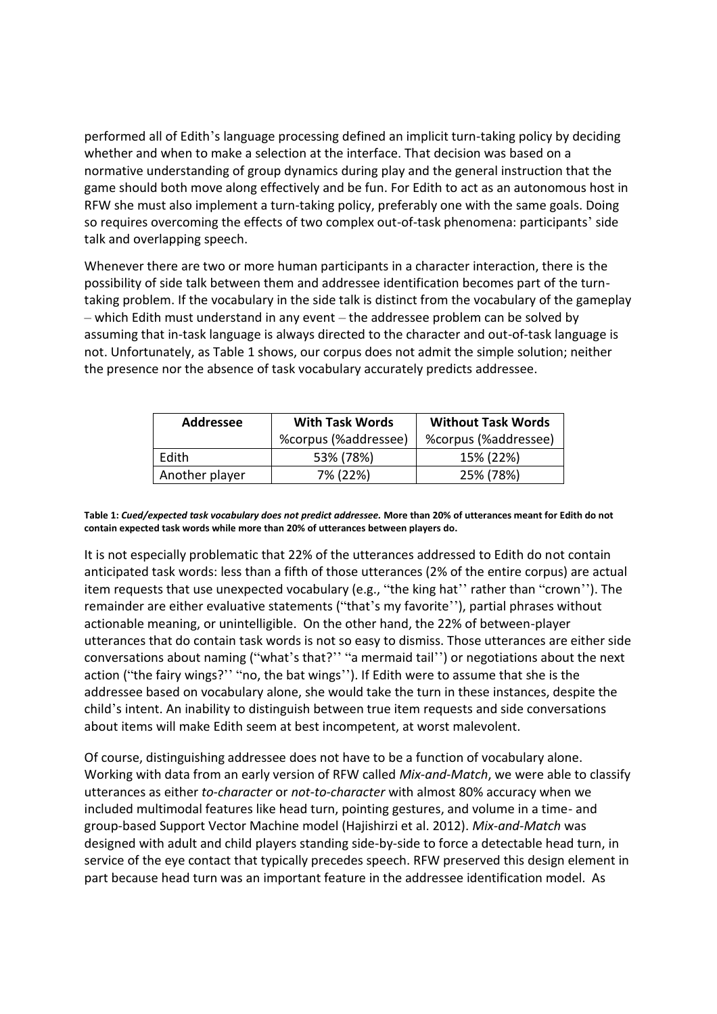performed all of Edith's language processing defined an implicit turn-taking policy by deciding whether and when to make a selection at the interface. That decision was based on a normative understanding of group dynamics during play and the general instruction that the game should both move along effectively and be fun. For Edith to act as an autonomous host in RFW she must also implement a turn-taking policy, preferably one with the same goals. Doing so requires overcoming the effects of two complex out-of-task phenomena: participants' side talk and overlapping speech.

Whenever there are two or more human participants in a character interaction, there is the possibility of side talk between them and addressee identification becomes part of the turntaking problem. If the vocabulary in the side talk is distinct from the vocabulary of the gameplay – which Edith must understand in any event – the addressee problem can be solved by assuming that in-task language is always directed to the character and out-of-task language is not. Unfortunately, as Table 1 shows, our corpus does not admit the simple solution; neither the presence nor the absence of task vocabulary accurately predicts addressee.

| <b>Addressee</b> | <b>With Task Words</b> | <b>Without Task Words</b> |
|------------------|------------------------|---------------------------|
|                  | %corpus (%addressee)   | %corpus (%addressee)      |
| Edith            | 53% (78%)              | 15% (22%)                 |
| Another player   | 7% (22%)               | 25% (78%)                 |

**Table 1:** *Cued/expected task vocabulary does not predict addressee.* **More than 20% of utterances meant for Edith do not contain expected task words while more than 20% of utterances between players do.**

It is not especially problematic that 22% of the utterances addressed to Edith do not contain anticipated task words: less than a fifth of those utterances (2% of the entire corpus) are actual item requests that use unexpected vocabulary (e.g., "the king hat'' rather than "crown''). The remainder are either evaluative statements ("that's my favorite''), partial phrases without actionable meaning, or unintelligible. On the other hand, the 22% of between-player utterances that do contain task words is not so easy to dismiss. Those utterances are either side conversations about naming ("what's that?'' "a mermaid tail'') or negotiations about the next action ("the fairy wings?'' "no, the bat wings''). If Edith were to assume that she is the addressee based on vocabulary alone, she would take the turn in these instances, despite the child's intent. An inability to distinguish between true item requests and side conversations about items will make Edith seem at best incompetent, at worst malevolent.

Of course, distinguishing addressee does not have to be a function of vocabulary alone. Working with data from an early version of RFW called *Mix-and-Match*, we were able to classify utterances as either *to-character* or *not-to-character* with almost 80% accuracy when we included multimodal features like head turn, pointing gestures, and volume in a time- and group-based Support Vector Machine model (Hajishirzi et al. 2012). *Mix-and-Match* was designed with adult and child players standing side-by-side to force a detectable head turn, in service of the eye contact that typically precedes speech. RFW preserved this design element in part because head turn was an important feature in the addressee identification model. As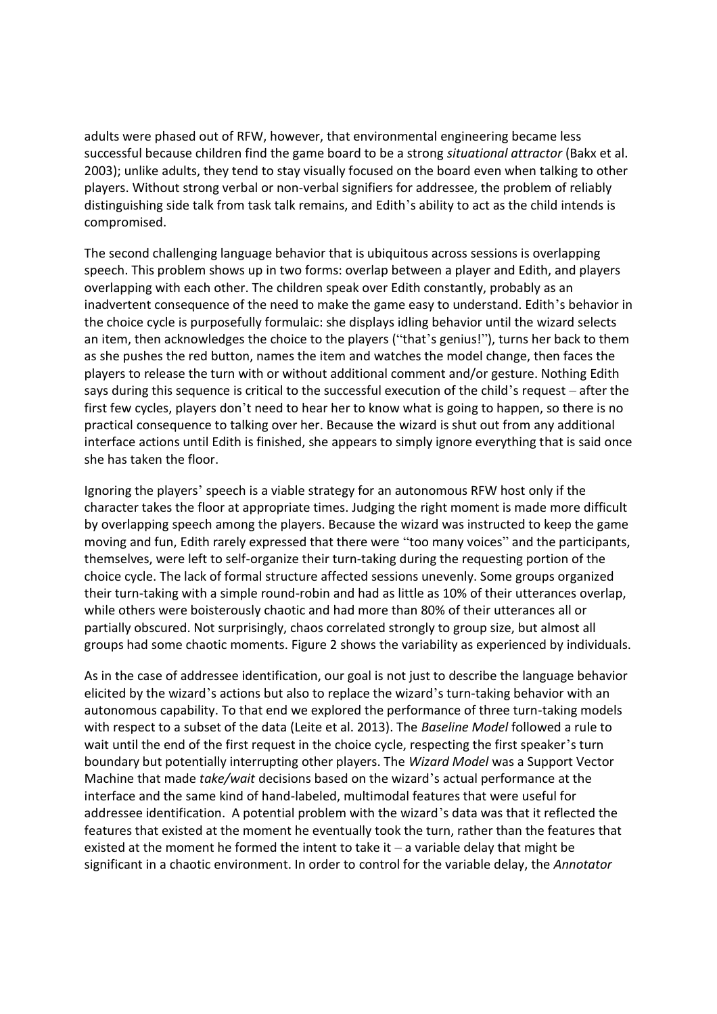adults were phased out of RFW, however, that environmental engineering became less successful because children find the game board to be a strong *situational attractor* (Bakx et al. 2003); unlike adults, they tend to stay visually focused on the board even when talking to other players. Without strong verbal or non-verbal signifiers for addressee, the problem of reliably distinguishing side talk from task talk remains, and Edith's ability to act as the child intends is compromised.

The second challenging language behavior that is ubiquitous across sessions is overlapping speech. This problem shows up in two forms: overlap between a player and Edith, and players overlapping with each other. The children speak over Edith constantly, probably as an inadvertent consequence of the need to make the game easy to understand. Edith's behavior in the choice cycle is purposefully formulaic: she displays idling behavior until the wizard selects an item, then acknowledges the choice to the players ("that's genius!"), turns her back to them as she pushes the red button, names the item and watches the model change, then faces the players to release the turn with or without additional comment and/or gesture. Nothing Edith says during this sequence is critical to the successful execution of the child's request – after the first few cycles, players don't need to hear her to know what is going to happen, so there is no practical consequence to talking over her. Because the wizard is shut out from any additional interface actions until Edith is finished, she appears to simply ignore everything that is said once she has taken the floor.

Ignoring the players' speech is a viable strategy for an autonomous RFW host only if the character takes the floor at appropriate times. Judging the right moment is made more difficult by overlapping speech among the players. Because the wizard was instructed to keep the game moving and fun, Edith rarely expressed that there were "too many voices" and the participants, themselves, were left to self-organize their turn-taking during the requesting portion of the choice cycle. The lack of formal structure affected sessions unevenly. Some groups organized their turn-taking with a simple round-robin and had as little as 10% of their utterances overlap, while others were boisterously chaotic and had more than 80% of their utterances all or partially obscured. Not surprisingly, chaos correlated strongly to group size, but almost all groups had some chaotic moments. Figure 2 shows the variability as experienced by individuals.

As in the case of addressee identification, our goal is not just to describe the language behavior elicited by the wizard's actions but also to replace the wizard's turn-taking behavior with an autonomous capability. To that end we explored the performance of three turn-taking models with respect to a subset of the data (Leite et al. 2013). The *Baseline Model* followed a rule to wait until the end of the first request in the choice cycle, respecting the first speaker's turn boundary but potentially interrupting other players. The *Wizard Model* was a Support Vector Machine that made *take/wait* decisions based on the wizard's actual performance at the interface and the same kind of hand-labeled, multimodal features that were useful for addressee identification. A potential problem with the wizard's data was that it reflected the features that existed at the moment he eventually took the turn, rather than the features that existed at the moment he formed the intent to take it  $-$  a variable delay that might be significant in a chaotic environment. In order to control for the variable delay, the *Annotator*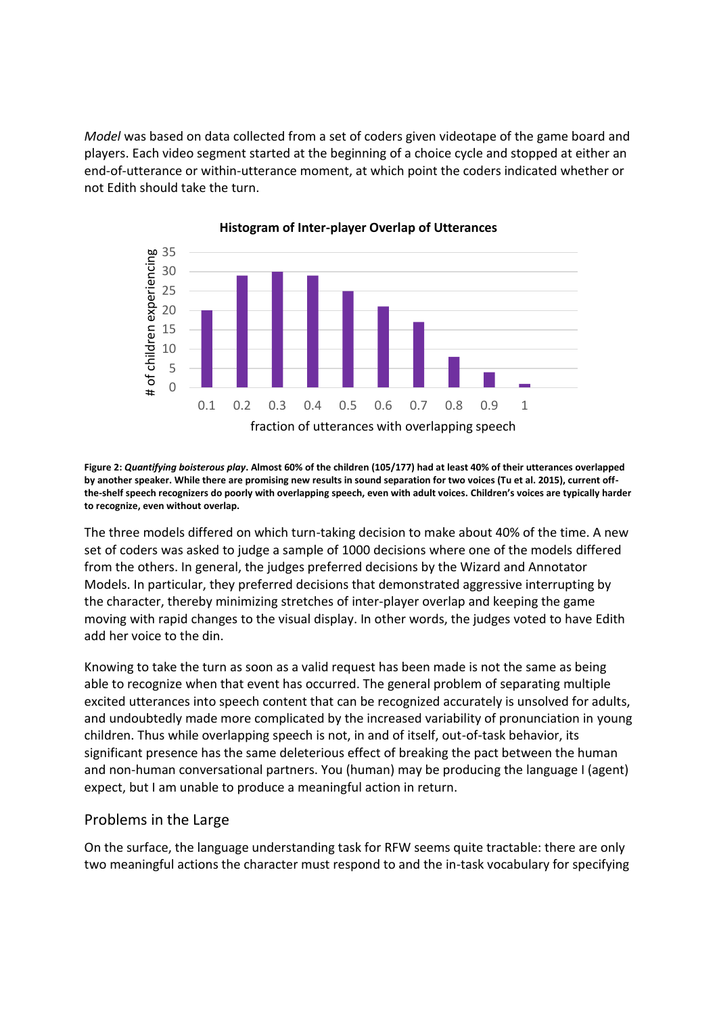*Model* was based on data collected from a set of coders given videotape of the game board and players. Each video segment started at the beginning of a choice cycle and stopped at either an end-of-utterance or within-utterance moment, at which point the coders indicated whether or not Edith should take the turn.



**Histogram of Inter-player Overlap of Utterances**

**Figure 2:** *Quantifying boisterous play***. Almost 60% of the children (105/177) had at least 40% of their utterances overlapped by another speaker. While there are promising new results in sound separation for two voices (Tu et al. 2015), current off**the-shelf speech recognizers do poorly with overlapping speech, even with adult voices. Children's voices are typically harder **to recognize, even without overlap.**

The three models differed on which turn-taking decision to make about 40% of the time. A new set of coders was asked to judge a sample of 1000 decisions where one of the models differed from the others. In general, the judges preferred decisions by the Wizard and Annotator Models. In particular, they preferred decisions that demonstrated aggressive interrupting by the character, thereby minimizing stretches of inter-player overlap and keeping the game moving with rapid changes to the visual display. In other words, the judges voted to have Edith add her voice to the din.

Knowing to take the turn as soon as a valid request has been made is not the same as being able to recognize when that event has occurred. The general problem of separating multiple excited utterances into speech content that can be recognized accurately is unsolved for adults, and undoubtedly made more complicated by the increased variability of pronunciation in young children. Thus while overlapping speech is not, in and of itself, out-of-task behavior, its significant presence has the same deleterious effect of breaking the pact between the human and non-human conversational partners. You (human) may be producing the language I (agent) expect, but I am unable to produce a meaningful action in return.

#### Problems in the Large

On the surface, the language understanding task for RFW seems quite tractable: there are only two meaningful actions the character must respond to and the in-task vocabulary for specifying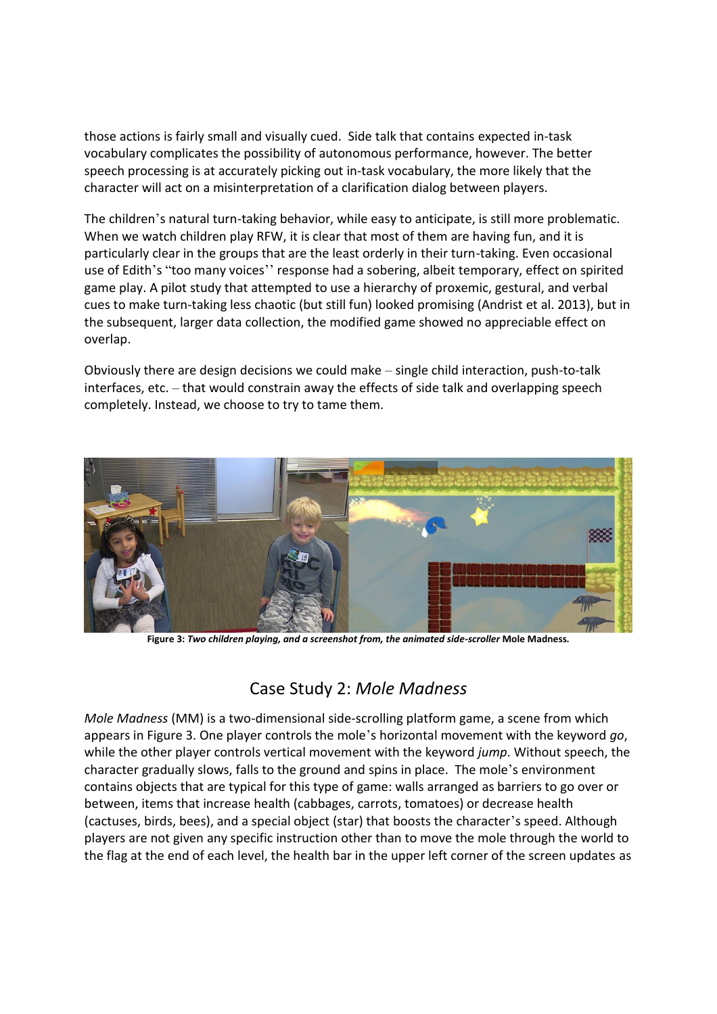those actions is fairly small and visually cued. Side talk that contains expected in-task vocabulary complicates the possibility of autonomous performance, however. The better speech processing is at accurately picking out in-task vocabulary, the more likely that the character will act on a misinterpretation of a clarification dialog between players.

The children's natural turn-taking behavior, while easy to anticipate, is still more problematic. When we watch children play RFW, it is clear that most of them are having fun, and it is particularly clear in the groups that are the least orderly in their turn-taking. Even occasional use of Edith's "too many voices'' response had a sobering, albeit temporary, effect on spirited game play. A pilot study that attempted to use a hierarchy of proxemic, gestural, and verbal cues to make turn-taking less chaotic (but still fun) looked promising (Andrist et al. 2013), but in the subsequent, larger data collection, the modified game showed no appreciable effect on overlap.

Obviously there are design decisions we could make – single child interaction, push-to-talk interfaces, etc. – that would constrain away the effects of side talk and overlapping speech completely. Instead, we choose to try to tame them.



**Figure 3:** *Two children playing, and a screenshot from, the animated side-scroller* **Mole Madness***.*

# Case Study 2: *Mole Madness*

*Mole Madness* (MM) is a two-dimensional side-scrolling platform game, a scene from which appears in Figure 3. One player controls the mole's horizontal movement with the keyword *go*, while the other player controls vertical movement with the keyword *jump*. Without speech, the character gradually slows, falls to the ground and spins in place. The mole's environment contains objects that are typical for this type of game: walls arranged as barriers to go over or between, items that increase health (cabbages, carrots, tomatoes) or decrease health (cactuses, birds, bees), and a special object (star) that boosts the character's speed. Although players are not given any specific instruction other than to move the mole through the world to the flag at the end of each level, the health bar in the upper left corner of the screen updates as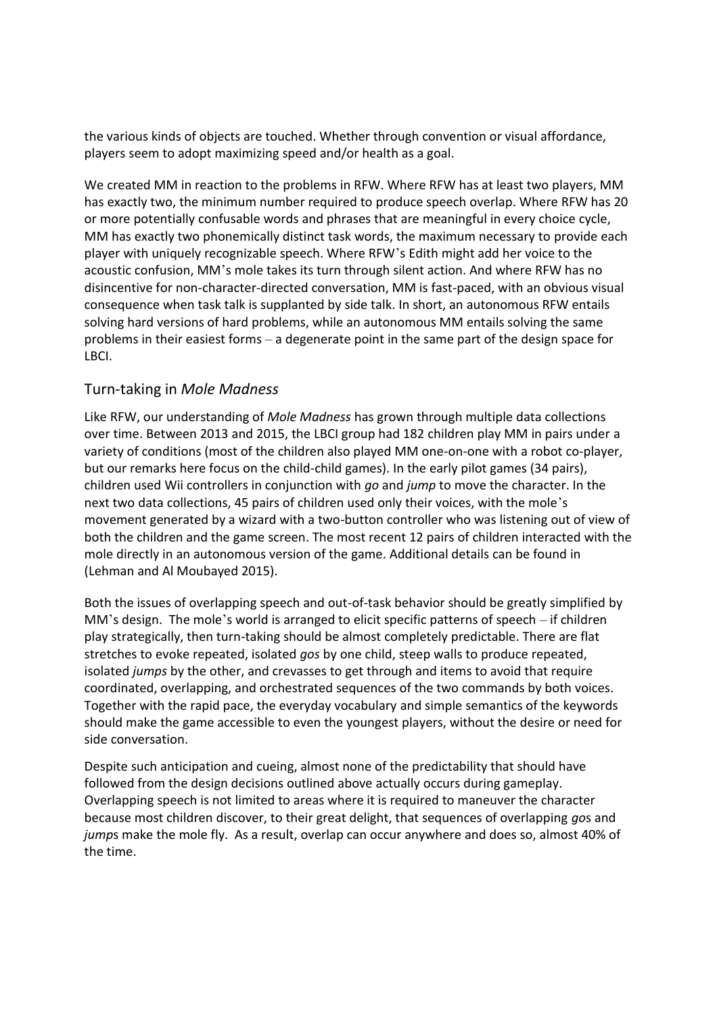the various kinds of objects are touched. Whether through convention or visual affordance, players seem to adopt maximizing speed and/or health as a goal.

We created MM in reaction to the problems in RFW. Where RFW has at least two players, MM has exactly two, the minimum number required to produce speech overlap. Where RFW has 20 or more potentially confusable words and phrases that are meaningful in every choice cycle, MM has exactly two phonemically distinct task words, the maximum necessary to provide each player with uniquely recognizable speech. Where RFW's Edith might add her voice to the acoustic confusion, MM's mole takes its turn through silent action. And where RFW has no disincentive for non-character-directed conversation, MM is fast-paced, with an obvious visual consequence when task talk is supplanted by side talk. In short, an autonomous RFW entails solving hard versions of hard problems, while an autonomous MM entails solving the same problems in their easiest forms – a degenerate point in the same part of the design space for LBCI.

#### Turn-taking in *Mole Madness*

Like RFW, our understanding of *Mole Madness* has grown through multiple data collections over time. Between 2013 and 2015, the LBCI group had 182 children play MM in pairs under a variety of conditions (most of the children also played MM one-on-one with a robot co-player, but our remarks here focus on the child-child games). In the early pilot games (34 pairs), children used Wii controllers in conjunction with *go* and *jump* to move the character. In the next two data collections, 45 pairs of children used only their voices, with the mole's movement generated by a wizard with a two-button controller who was listening out of view of both the children and the game screen. The most recent 12 pairs of children interacted with the mole directly in an autonomous version of the game. Additional details can be found in (Lehman and Al Moubayed 2015).

Both the issues of overlapping speech and out-of-task behavior should be greatly simplified by MM's design. The mole's world is arranged to elicit specific patterns of speech – if children play strategically, then turn-taking should be almost completely predictable. There are flat stretches to evoke repeated, isolated *gos* by one child, steep walls to produce repeated, isolated *jumps* by the other, and crevasses to get through and items to avoid that require coordinated, overlapping, and orchestrated sequences of the two commands by both voices. Together with the rapid pace, the everyday vocabulary and simple semantics of the keywords should make the game accessible to even the youngest players, without the desire or need for side conversation.

Despite such anticipation and cueing, almost none of the predictability that should have followed from the design decisions outlined above actually occurs during gameplay. Overlapping speech is not limited to areas where it is required to maneuver the character because most children discover, to their great delight, that sequences of overlapping *go*s and *jump*s make the mole fly. As a result, overlap can occur anywhere and does so, almost 40% of the time.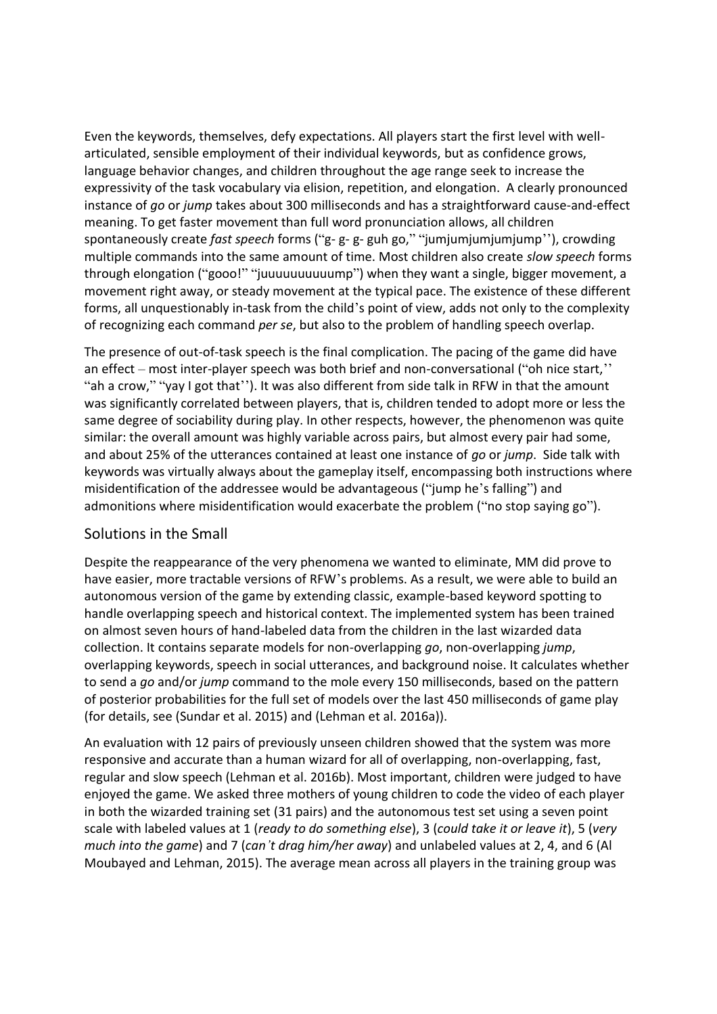Even the keywords, themselves, defy expectations. All players start the first level with wellarticulated, sensible employment of their individual keywords, but as confidence grows, language behavior changes, and children throughout the age range seek to increase the expressivity of the task vocabulary via elision, repetition, and elongation. A clearly pronounced instance of *go* or *jump* takes about 300 milliseconds and has a straightforward cause-and-effect meaning. To get faster movement than full word pronunciation allows, all children spontaneously create *fast speech* forms ("g- g- g- guh go," "jumjumjumjumjump''), crowding multiple commands into the same amount of time. Most children also create *slow speech* forms through elongation ("gooo!" "juuuuuuuuuump") when they want a single, bigger movement, a movement right away, or steady movement at the typical pace. The existence of these different forms, all unquestionably in-task from the child's point of view, adds not only to the complexity of recognizing each command *per se*, but also to the problem of handling speech overlap.

The presence of out-of-task speech is the final complication. The pacing of the game did have an effect – most inter-player speech was both brief and non-conversational ("oh nice start,'' "ah a crow," "yay I got that''). It was also different from side talk in RFW in that the amount was significantly correlated between players, that is, children tended to adopt more or less the same degree of sociability during play. In other respects, however, the phenomenon was quite similar: the overall amount was highly variable across pairs, but almost every pair had some, and about 25% of the utterances contained at least one instance of *go* or *jump*. Side talk with keywords was virtually always about the gameplay itself, encompassing both instructions where misidentification of the addressee would be advantageous ("jump he's falling") and admonitions where misidentification would exacerbate the problem ("no stop saying go").

### Solutions in the Small

Despite the reappearance of the very phenomena we wanted to eliminate, MM did prove to have easier, more tractable versions of RFW's problems. As a result, we were able to build an autonomous version of the game by extending classic, example-based keyword spotting to handle overlapping speech and historical context. The implemented system has been trained on almost seven hours of hand-labeled data from the children in the last wizarded data collection. It contains separate models for non-overlapping *go*, non-overlapping *jump*, overlapping keywords, speech in social utterances, and background noise. It calculates whether to send a *go* and/or *jump* command to the mole every 150 milliseconds, based on the pattern of posterior probabilities for the full set of models over the last 450 milliseconds of game play (for details, see (Sundar et al. 2015) and (Lehman et al. 2016a)).

An evaluation with 12 pairs of previously unseen children showed that the system was more responsive and accurate than a human wizard for all of overlapping, non-overlapping, fast, regular and slow speech (Lehman et al. 2016b). Most important, children were judged to have enjoyed the game. We asked three mothers of young children to code the video of each player in both the wizarded training set (31 pairs) and the autonomous test set using a seven point scale with labeled values at 1 (*ready to do something else*), 3 (*could take it or leave it*), 5 (*very much into the game*) and 7 (*can't drag him/her away*) and unlabeled values at 2, 4, and 6 (Al Moubayed and Lehman, 2015). The average mean across all players in the training group was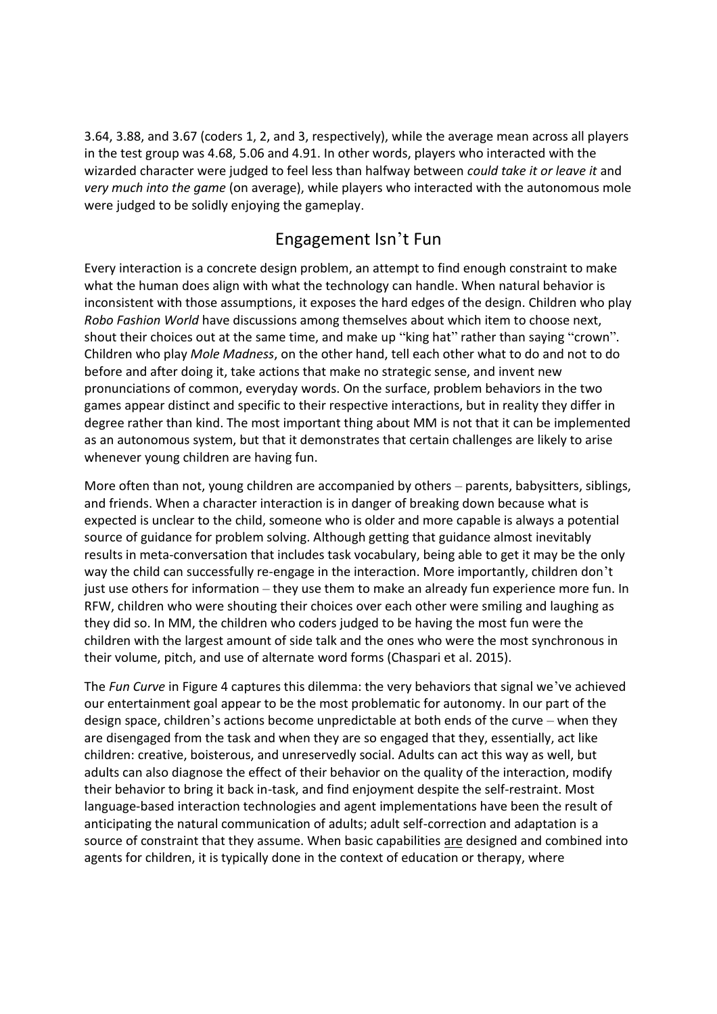3.64, 3.88, and 3.67 (coders 1, 2, and 3, respectively), while the average mean across all players in the test group was 4.68, 5.06 and 4.91. In other words, players who interacted with the wizarded character were judged to feel less than halfway between *could take it or leave it* and *very much into the game* (on average), while players who interacted with the autonomous mole were judged to be solidly enjoying the gameplay.

### Engagement Isn't Fun

Every interaction is a concrete design problem, an attempt to find enough constraint to make what the human does align with what the technology can handle. When natural behavior is inconsistent with those assumptions, it exposes the hard edges of the design. Children who play *Robo Fashion World* have discussions among themselves about which item to choose next, shout their choices out at the same time, and make up "king hat" rather than saying "crown". Children who play *Mole Madness*, on the other hand, tell each other what to do and not to do before and after doing it, take actions that make no strategic sense, and invent new pronunciations of common, everyday words. On the surface, problem behaviors in the two games appear distinct and specific to their respective interactions, but in reality they differ in degree rather than kind. The most important thing about MM is not that it can be implemented as an autonomous system, but that it demonstrates that certain challenges are likely to arise whenever young children are having fun.

More often than not, young children are accompanied by others – parents, babysitters, siblings, and friends. When a character interaction is in danger of breaking down because what is expected is unclear to the child, someone who is older and more capable is always a potential source of guidance for problem solving. Although getting that guidance almost inevitably results in meta-conversation that includes task vocabulary, being able to get it may be the only way the child can successfully re-engage in the interaction. More importantly, children don't just use others for information – they use them to make an already fun experience more fun. In RFW, children who were shouting their choices over each other were smiling and laughing as they did so. In MM, the children who coders judged to be having the most fun were the children with the largest amount of side talk and the ones who were the most synchronous in their volume, pitch, and use of alternate word forms (Chaspari et al. 2015).

The *Fun Curve* in Figure 4 captures this dilemma: the very behaviors that signal we've achieved our entertainment goal appear to be the most problematic for autonomy. In our part of the design space, children's actions become unpredictable at both ends of the curve – when they are disengaged from the task and when they are so engaged that they, essentially, act like children: creative, boisterous, and unreservedly social. Adults can act this way as well, but adults can also diagnose the effect of their behavior on the quality of the interaction, modify their behavior to bring it back in-task, and find enjoyment despite the self-restraint. Most language-based interaction technologies and agent implementations have been the result of anticipating the natural communication of adults; adult self-correction and adaptation is a source of constraint that they assume. When basic capabilities are designed and combined into agents for children, it is typically done in the context of education or therapy, where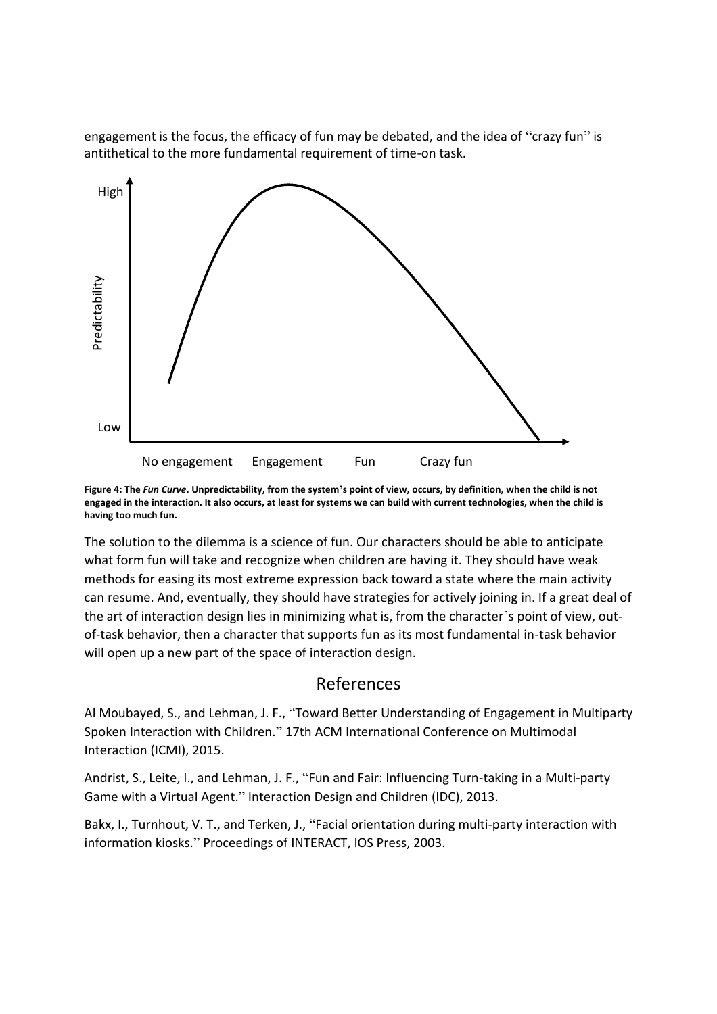engagement is the focus, the efficacy of fun may be debated, and the idea of "crazy fun" is antithetical to the more fundamental requirement of time-on task.



**Figure 4: The** *Fun Curve***. Unpredictability, from the system's point of view, occurs, by definition, when the child is not engaged in the interaction. It also occurs, at least for systems we can build with current technologies, when the child is having too much fun.** 

The solution to the dilemma is a science of fun. Our characters should be able to anticipate what form fun will take and recognize when children are having it. They should have weak methods for easing its most extreme expression back toward a state where the main activity can resume. And, eventually, they should have strategies for actively joining in. If a great deal of the art of interaction design lies in minimizing what is, from the character's point of view, outof-task behavior, then a character that supports fun as its most fundamental in-task behavior will open up a new part of the space of interaction design.

### References

Al Moubayed, S., and Lehman, J. F., "Toward Better Understanding of Engagement in Multiparty Spoken Interaction with Children." 17th ACM International Conference on Multimodal Interaction (ICMI), 2015.

Andrist, S., Leite, I., and Lehman, J. F., "Fun and Fair: Influencing Turn-taking in a Multi-party Game with a Virtual Agent." Interaction Design and Children (IDC), 2013.

Bakx, I., Turnhout, V. T., and Terken, J., "Facial orientation during multi-party interaction with information kiosks." Proceedings of INTERACT, IOS Press, 2003.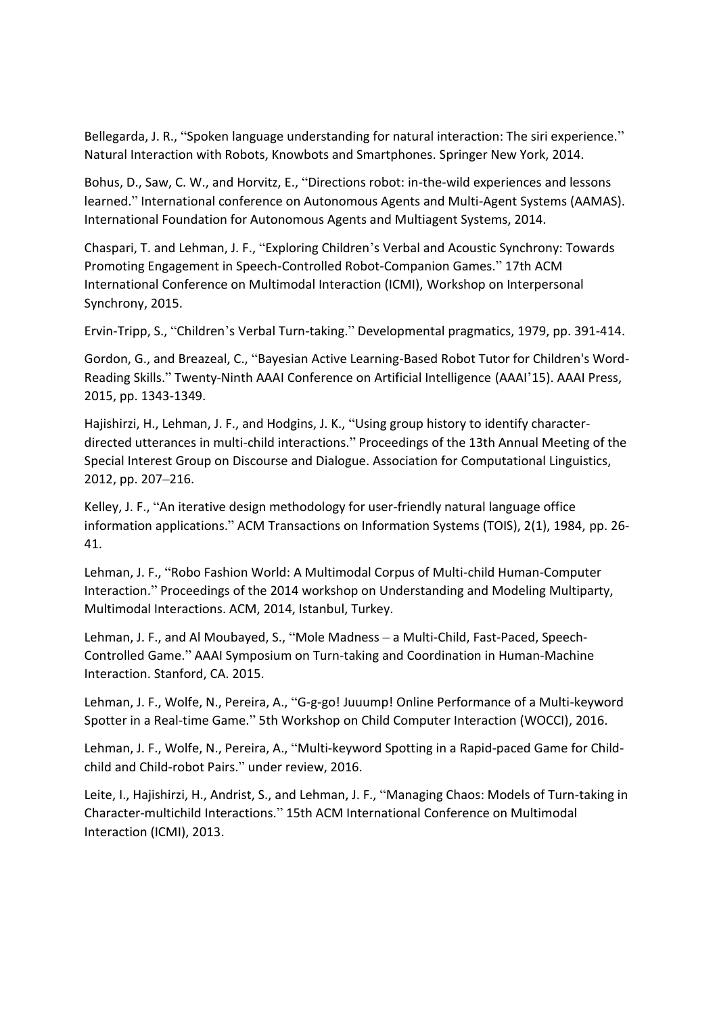Bellegarda, J. R., "Spoken language understanding for natural interaction: The siri experience." Natural Interaction with Robots, Knowbots and Smartphones. Springer New York, 2014.

Bohus, D., Saw, C. W., and Horvitz, E., "Directions robot: in-the-wild experiences and lessons learned." International conference on Autonomous Agents and Multi-Agent Systems (AAMAS). International Foundation for Autonomous Agents and Multiagent Systems, 2014.

Chaspari, T. and Lehman, J. F., "Exploring Children's Verbal and Acoustic Synchrony: Towards Promoting Engagement in Speech-Controlled Robot-Companion Games." 17th ACM International Conference on Multimodal Interaction (ICMI), Workshop on Interpersonal Synchrony, 2015.

Ervin-Tripp, S., "Children's Verbal Turn-taking." Developmental pragmatics, 1979, pp. 391-414.

Gordon, G., and Breazeal, C., "Bayesian Active Learning-Based Robot Tutor for Children's Word-Reading Skills." Twenty-Ninth AAAI Conference on Artificial Intelligence (AAAI'15). AAAI Press, 2015, pp. 1343-1349.

Hajishirzi, H., Lehman, J. F., and Hodgins, J. K., "Using group history to identify characterdirected utterances in multi-child interactions." Proceedings of the 13th Annual Meeting of the Special Interest Group on Discourse and Dialogue. Association for Computational Linguistics, 2012, pp. 207–216.

Kelley, J. F., "An iterative design methodology for user-friendly natural language office information applications." ACM Transactions on Information Systems (TOIS), 2(1), 1984, pp. 26- 41.

Lehman, J. F., "Robo Fashion World: A Multimodal Corpus of Multi-child Human-Computer Interaction." Proceedings of the 2014 workshop on Understanding and Modeling Multiparty, Multimodal Interactions. ACM, 2014, Istanbul, Turkey.

Lehman, J. F., and Al Moubayed, S., "Mole Madness – a Multi-Child, Fast-Paced, Speech-Controlled Game." AAAI Symposium on Turn-taking and Coordination in Human-Machine Interaction. Stanford, CA. 2015.

Lehman, J. F., Wolfe, N., Pereira, A., "G-g-go! Juuump! Online Performance of a Multi-keyword Spotter in a Real-time Game." 5th Workshop on Child Computer Interaction (WOCCI), 2016.

Lehman, J. F., Wolfe, N., Pereira, A., "Multi-keyword Spotting in a Rapid-paced Game for Childchild and Child-robot Pairs." under review, 2016.

Leite, I., Hajishirzi, H., Andrist, S., and Lehman, J. F., "Managing Chaos: Models of Turn-taking in Character-multichild Interactions." 15th ACM International Conference on Multimodal Interaction (ICMI), 2013.